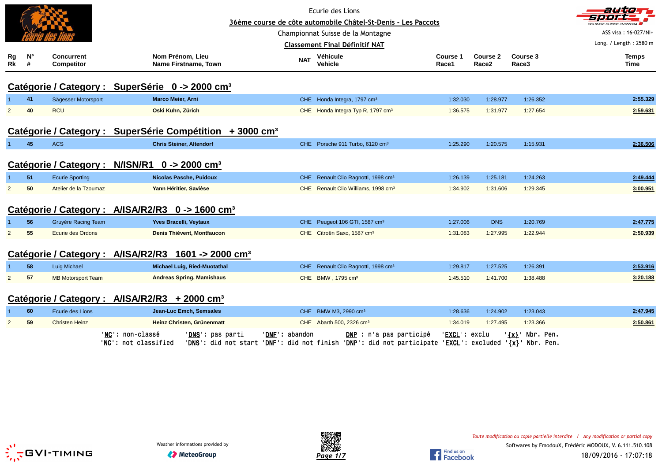|                  |                  |                                 |                                                                      |            | Ecurie des Lions                                              |                   |                               |                   | autom                   |
|------------------|------------------|---------------------------------|----------------------------------------------------------------------|------------|---------------------------------------------------------------|-------------------|-------------------------------|-------------------|-------------------------|
|                  |                  |                                 |                                                                      |            | 36ème course de côte automobile Châtel-St-Denis - Les Paccots |                   |                               |                   | SCHWEIZ.SUISSE.SVIZZERA |
|                  |                  |                                 |                                                                      |            | Championnat Suisse de la Montagne                             |                   |                               |                   | ASS visa: 16-027/NI+    |
|                  |                  |                                 |                                                                      |            | <b>Classement Final Définitif NAT</b>                         |                   |                               |                   | Long. / Length: 2580 m  |
| Rg<br>$R\bar{k}$ | $N^{\circ}$<br># | <b>Concurrent</b><br>Competitor | Nom Prénom, Lieu<br>Name Firstname, Town                             | <b>NAT</b> | Véhicule<br><b>Vehicle</b>                                    | Course 1<br>Race1 | Course 2<br>Race <sub>2</sub> | Course 3<br>Race3 | <b>Temps</b><br>Time    |
|                  |                  |                                 | Catégorie / Category : SuperSérie 0 -> 2000 cm <sup>3</sup>          |            |                                                               |                   |                               |                   |                         |
|                  | 41               | Sägesser Motorsport             | Marco Meier, Arni                                                    |            | CHE Honda Integra, 1797 cm <sup>3</sup>                       | 1:32.030          | 1:28.977                      | 1:26.352          | 2:55.329                |
| $\overline{2}$   | 40               | <b>RCU</b>                      | Oski Kuhn, Zürich                                                    |            | CHE Honda Integra Typ R, 1797 cm <sup>3</sup>                 | 1:36.575          | 1:31.977                      | 1:27.654          | 2:59.631                |
|                  |                  |                                 | Catégorie / Category : SuperSérie Compétition + 3000 cm <sup>3</sup> |            |                                                               |                   |                               |                   |                         |
|                  | 45               | <b>ACS</b>                      | <b>Chris Steiner, Altendorf</b>                                      |            | CHE Porsche 911 Turbo, 6120 cm <sup>3</sup>                   | 1:25.290          | 1:20.575                      | 1:15.931          | 2:36.506                |
|                  |                  | Catégorie / Category:           | $N/ISN/R1$ 0 -> 2000 cm <sup>3</sup>                                 |            |                                                               |                   |                               |                   |                         |
|                  | 51               | <b>Ecurie Sporting</b>          | <b>Nicolas Pasche, Puidoux</b>                                       |            | CHE Renault Clio Ragnotti, 1998 cm <sup>3</sup>               | 1:26.139          | 1:25.181                      | 1:24.263          | 2:49.444                |
| $\overline{2}$   | 50               | Atelier de la Tzoumaz           | Yann Héritier, Savièse                                               |            | CHE Renault Clio Williams, 1998 cm <sup>3</sup>               | 1:34.902          | 1:31.606                      | 1:29.345          | 3:00.951                |
|                  |                  |                                 | Catégorie / Category : A/ISA/R2/R3 0 -> 1600 cm <sup>3</sup>         |            |                                                               |                   |                               |                   |                         |
|                  | 56               | Gruyère Racing Team             | Yves Bracelli, Veytaux                                               |            | CHE Peugeot 106 GTI, 1587 cm <sup>3</sup>                     | 1:27.006          | <b>DNS</b>                    | 1:20.769          | 2:47.775                |
| $\overline{2}$   | 55               | <b>Ecurie des Ordons</b>        | Denis Thiévent, Montfaucon                                           |            | CHE Citroën Saxo, 1587 cm <sup>3</sup>                        | 1:31.083          | 1:27.995                      | 1:22.944          | 2:50.939                |
|                  |                  | Catégorie / Category:           | A/ISA/R2/R3<br>1601 -> 2000 cm <sup>3</sup>                          |            |                                                               |                   |                               |                   |                         |
|                  | 58               | Luig Michael                    | Michael Luig, Ried-Muotathal                                         |            | CHE Renault Clio Ragnotti, 1998 cm <sup>3</sup>               | 1:29.817          | 1:27.525                      | 1:26.391          | 2:53.916                |
| $\overline{2}$   | 57               | <b>MB Motorsport Team</b>       | <b>Andreas Spring, Mamishaus</b>                                     |            | CHE BMW, 1795 cm <sup>3</sup>                                 | 1:45.510          | 1:41.700                      | 1:38.488          | 3:20.188                |
|                  |                  |                                 | Catégorie / Category : A/ISA/R2/R3 + 2000 cm <sup>3</sup>            |            |                                                               |                   |                               |                   |                         |
|                  | 60               | Ecurie des Lions                | Jean-Luc Emch, Semsales                                              |            | CHE BMW M3, 2990 cm <sup>3</sup>                              | 1:28.636          | 1:24.902                      | 1:23.043          | 2:47.945                |
| $\overline{2}$   | 59               | <b>Christen Heinz</b>           | Heinz Christen, Grünenmatt                                           |            | CHE Abarth 500, 2326 cm <sup>3</sup>                          | 1:34.019          | 1:27.495                      | 1:23.366          | 2:50.861                |
|                  |                  |                                 |                                                                      |            |                                                               |                   |                               |                   |                         |





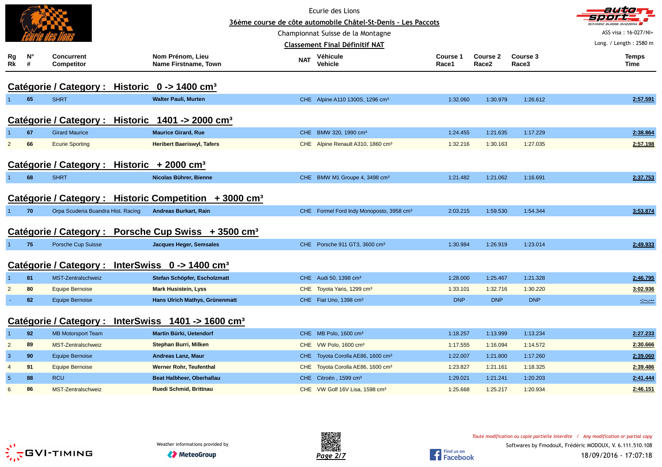|                                                                   |                  |                                        |                                                                    |            | Ecurie des Lions<br>36ème course de côte automobile Châtel-St-Denis - Les Paccots |                          |                               |                   | autiom<br><b>SCHWEIZ SUISSE SVIZZERA</b> |
|-------------------------------------------------------------------|------------------|----------------------------------------|--------------------------------------------------------------------|------------|-----------------------------------------------------------------------------------|--------------------------|-------------------------------|-------------------|------------------------------------------|
|                                                                   |                  |                                        |                                                                    |            | Championnat Suisse de la Montagne                                                 |                          |                               |                   | ASS visa: 16-027/NI+                     |
|                                                                   |                  |                                        |                                                                    |            | <b>Classement Final Définitif NAT</b>                                             |                          |                               |                   | Long. / Length: 2580 m                   |
| Rg<br>Rk                                                          | $N^{\circ}$<br># | <b>Concurrent</b><br><b>Competitor</b> | Nom Prénom, Lieu<br><b>Name Firstname, Town</b>                    | <b>NAT</b> | Véhicule<br>Vehicle                                                               | <b>Course 1</b><br>Race1 | Course 2<br>Race <sub>2</sub> | Course 3<br>Race3 | <b>Temps</b><br>Time                     |
|                                                                   |                  |                                        | Catégorie / Category : Historic 0 -> 1400 cm <sup>3</sup>          |            |                                                                                   |                          |                               |                   |                                          |
| 1 <sup>1</sup>                                                    | 65               | <b>SHRT</b>                            | <b>Walter Pauli, Murten</b>                                        |            | CHE Alpine A110 1300S, 1296 cm <sup>3</sup>                                       | 1:32.060                 | 1:30.979                      | 1:26.612          | 2:57.591                                 |
|                                                                   |                  |                                        | Catégorie / Category : Historic 1401 -> 2000 cm <sup>3</sup>       |            |                                                                                   |                          |                               |                   |                                          |
|                                                                   | 67               | <b>Girard Maurice</b>                  | <b>Maurice Girard, Rue</b>                                         |            | CHE BMW 320, 1990 cm <sup>3</sup>                                                 | 1:24.455                 | 1:21.635                      | 1:17.229          | 2:38.864                                 |
| $\overline{2}$                                                    | 66               | <b>Ecurie Sporting</b>                 | <b>Heribert Baeriswyl, Tafers</b>                                  |            | CHE Alpine Renault A310, 1860 cm <sup>3</sup>                                     | 1:32.216                 | 1:30.163                      | 1:27.035          | 2:57.198                                 |
|                                                                   |                  |                                        | Catégorie / Category : Historic + 2000 cm <sup>3</sup>             |            |                                                                                   |                          |                               |                   |                                          |
| 1.                                                                | 68               | <b>SHRT</b>                            | Nicolas Bührer, Bienne                                             |            | CHE BMW M1 Groupe 4, 3498 cm <sup>3</sup>                                         | 1:21.482                 | 1:21.062                      | 1:16.691          | 2:37.753                                 |
|                                                                   |                  |                                        | Catégorie / Category : Historic Competition + 3000 cm <sup>3</sup> |            |                                                                                   |                          |                               |                   |                                          |
| $1 -$                                                             | 70               | Orpa Scuderia Buandra Hist. Racing     | <b>Andreas Burkart, Rain</b>                                       |            | CHE Formel Ford Indy Monoposto, 3958 cm <sup>3</sup>                              | 2:03.215                 | 1:59.530                      | 1:54.344          | 3:53.874                                 |
|                                                                   |                  | Catégorie / Category :                 | Porsche Cup Swiss + 3500 cm <sup>3</sup>                           |            |                                                                                   |                          |                               |                   |                                          |
| $\bullet$                                                         | 75               | Porsche Cup Suisse                     | Jacques Heger, Semsales                                            |            | CHE Porsche 911 GT3, 3600 cm <sup>3</sup>                                         | 1:30.984                 | 1:26.919                      | 1:23.014          | 2:49.933                                 |
|                                                                   |                  | Catégorie / Category :                 | InterSwiss $0 \rightarrow 1400 \text{ cm}^3$                       |            |                                                                                   |                          |                               |                   |                                          |
|                                                                   | 81               | MST-Zentralschweiz                     | Stefan Schöpfer, Escholzmatt                                       |            | CHE Audi 50, 1398 cm <sup>3</sup>                                                 | 1:28.000                 | 1:25.467                      | 1:21.328          | 2:46.795                                 |
| 2                                                                 | 80               | <b>Equipe Bernoise</b>                 | <b>Mark Husistein, Lyss</b>                                        |            | CHE Toyota Yaris, 1299 cm <sup>3</sup>                                            | 1:33.101                 | 1:32.716                      | 1:30.220          | 3:02.936                                 |
|                                                                   | 82               | <b>Equipe Bernoise</b>                 | Hans Ulrich Mathys, Grünenmatt                                     |            | CHE Fiat Uno, 1398 cm <sup>3</sup>                                                | <b>DNP</b>               | <b>DNP</b>                    | <b>DNP</b>        | $\sim$ $-$                               |
| InterSwiss $1401 \div 1600 \text{ cm}^3$<br>Catégorie / Category: |                  |                                        |                                                                    |            |                                                                                   |                          |                               |                   |                                          |
| $\mathbf{1}$                                                      | 92               | <b>MB Motorsport Team</b>              | Martin Bürki, Uetendorf                                            |            | CHE MB Polo, 1600 cm <sup>3</sup>                                                 | 1:18.257                 | 1:13.999                      | 1:13.234          | 2:27.233                                 |
| $\overline{2}$                                                    | 89               | MST-Zentralschweiz                     | <b>Stephan Burri, Milken</b>                                       |            | CHE VW Polo, 1600 cm <sup>3</sup>                                                 | 1:17.555                 | 1:16.094                      | 1:14.572          | 2:30.666                                 |
| 3                                                                 | 90               | <b>Equipe Bernoise</b>                 | <b>Andreas Lanz, Maur</b>                                          |            | CHE Toyota Corolla AE86, 1600 cm <sup>3</sup>                                     | 1:22.007                 | 1:21.800                      | 1:17.260          | 2:39.060                                 |
| $\overline{4}$                                                    | 91               | <b>Equipe Bernoise</b>                 | <b>Werner Rohr, Teufenthal</b>                                     |            | CHE Toyota Corolla AE86, 1600 cm <sup>3</sup>                                     | 1:23.827                 | 1:21.161                      | 1:18.325          | 2:39.486                                 |
| $5\phantom{.0}$                                                   | 88               | <b>RCU</b>                             | Beat Halbheer, Oberhallau                                          |            | CHE Citroën, 1599 cm <sup>3</sup>                                                 | 1:29.021                 | 1:21.241                      | 1:20.203          | 2:41.444                                 |
| 6                                                                 | 86               | MST-Zentralschweiz                     | Ruedi Schmid, Brittnau                                             |            | CHE VW Golf 16V Lisa, 1598 cm <sup>3</sup>                                        | 1:25.668                 | 1:25.217                      | 1:20.934          | 2:46.151                                 |



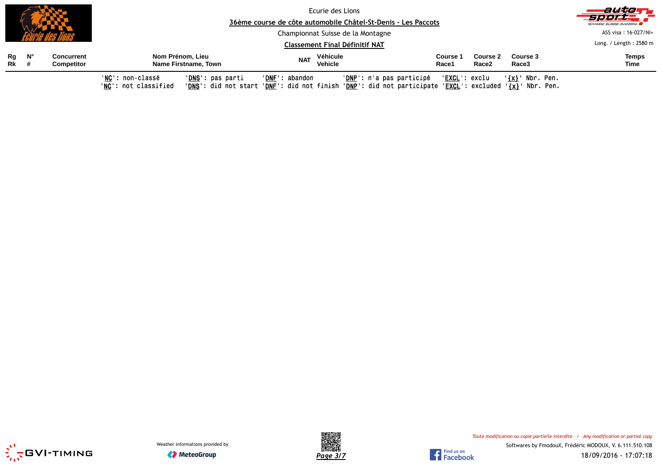|             |       |                                        | 36ème course de côte automobile Châtel-St-Denis - Les Paccots                                                                                       | autott<br>sport.<br>SCHWEIZ SUISSE SVIZZERA               |                                                                                                                                                                                                        |                        |  |  |  |  |
|-------------|-------|----------------------------------------|-----------------------------------------------------------------------------------------------------------------------------------------------------|-----------------------------------------------------------|--------------------------------------------------------------------------------------------------------------------------------------------------------------------------------------------------------|------------------------|--|--|--|--|
|             |       |                                        |                                                                                                                                                     | Championnat Suisse de la Montagne                         |                                                                                                                                                                                                        |                        |  |  |  |  |
|             |       |                                        |                                                                                                                                                     | <b>Classement Final Définitif NAT</b>                     |                                                                                                                                                                                                        | Long. / Length: 2580 m |  |  |  |  |
| <b>Rk</b> # | Rg N° | <b>Concurrent</b><br><b>Competitor</b> | Véhicule<br>Nom Prénom, Lieu<br>Course 3<br>Course 2<br><b>Course 1</b><br><b>NAT</b><br>Vehicle<br>Name Firstname, Town<br>Race2<br>Race1<br>Race3 |                                                           |                                                                                                                                                                                                        |                        |  |  |  |  |
|             |       |                                        | 'NC': non-classé<br>' <b>DNS</b> ': pas parti<br>'NC': not classified                                                                               | ' <mark>DNP</mark> ': n'a pas participé<br>'DNF': abandon | ' <b>EXCL</b> ': exclu<br>'{x}' Nbr. Pen.<br>' <mark>DNS</mark> ': did not start ' <u>DNF</u> ': did not finish ' <u>DNP</u> ': did not participate ' <u>EXCL</u> ': excluded ' <u>{x}</u> ' Nbr. Pen. |                        |  |  |  |  |





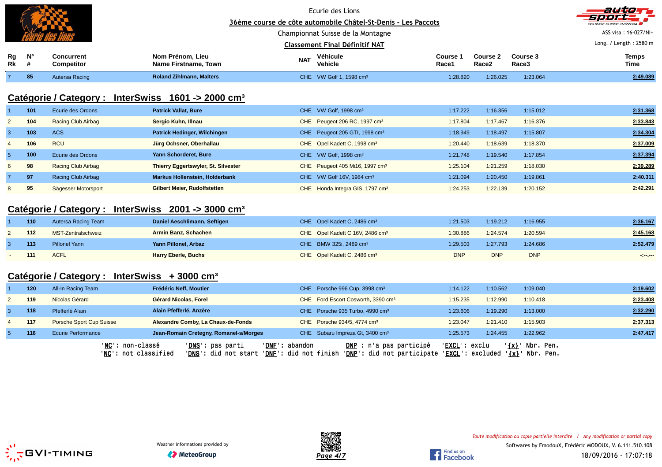|                      |                  |                                        |                                                                             |                | Ecurie des Lions<br>36ème course de côte automobile Châtel-St-Denis - Les Paccots                 |                   |                               |                                              | autionn                |
|----------------------|------------------|----------------------------------------|-----------------------------------------------------------------------------|----------------|---------------------------------------------------------------------------------------------------|-------------------|-------------------------------|----------------------------------------------|------------------------|
|                      |                  |                                        |                                                                             |                | Championnat Suisse de la Montagne                                                                 |                   |                               |                                              | ASS visa: 16-027/NI+   |
|                      |                  |                                        |                                                                             |                | <b>Classement Final Définitif NAT</b>                                                             |                   |                               |                                              | Long. / Length: 2580 m |
| Rg<br>R <sub>k</sub> | $N^{\circ}$<br># | <b>Concurrent</b><br><b>Competitor</b> | Nom Prénom, Lieu<br>Name Firstname, Town                                    | <b>NAT</b>     | Véhicule<br>Vehicle                                                                               | Course 1<br>Race1 | Course 2<br>Race <sub>2</sub> | Course 3<br>Race3                            | <b>Temps</b><br>Time   |
| $\overline{7}$       | 85               | Autersa Racing                         | <b>Roland Zihlmann, Malters</b>                                             |                | CHE VW Golf 1, 1598 cm <sup>3</sup>                                                               | 1:28.820          | 1:26.025                      | 1:23.064                                     | 2:49.089               |
|                      |                  | Catégorie / Category :                 | InterSwiss $1601 \div 2000$ cm <sup>3</sup>                                 |                |                                                                                                   |                   |                               |                                              |                        |
|                      | 101              | Ecurie des Ordons                      | <b>Patrick Vallat, Bure</b>                                                 |                | CHE VW Golf, 1998 cm <sup>3</sup>                                                                 | 1:17.222          | 1:16.356                      | 1:15.012                                     | 2:31.368               |
| $\overline{2}$       | 104              | <b>Racing Club Airbag</b>              | Sergio Kuhn, Illnau                                                         |                | CHE Peugeot 206 RC, 1997 cm <sup>3</sup>                                                          | 1:17.804          | 1:17.467                      | 1:16.376                                     | 2:33.843               |
| 3                    | 103              | <b>ACS</b>                             | Patrick Hedinger, Wilchingen                                                |                | CHE Peugeot 205 GTI, 1998 cm <sup>3</sup>                                                         | 1:18.949          | 1:18.497                      | 1:15.807                                     | 2:34.304               |
| $\overline{4}$       | 106              | <b>RCU</b>                             | Jürg Ochsner, Oberhallau                                                    |                | CHE Opel Kadett C, 1998 cm <sup>3</sup>                                                           | 1:20.440          | 1:18.639                      | 1:18.370                                     | 2:37.009               |
| 5 <sub>5</sub>       | 100              | Ecurie des Ordons                      | Yann Schorderet, Bure                                                       |                | CHE VW Golf, 1998 cm <sup>3</sup>                                                                 | 1:21.748          | 1:19.540                      | 1:17.854                                     | 2:37.394               |
| 6                    | 98               | <b>Racing Club Airbag</b>              | Thierry Eggertswyler, St. Silvester                                         |                | CHE Peugeot 405 Mi16, 1997 cm <sup>3</sup>                                                        | 1:25.104          | 1:21.259                      | 1:18.030                                     | 2:39.289               |
| 7                    | 97               | Racing Club Airbag                     | <b>Markus Hollenstein, Holderbank</b>                                       |                | CHE VW Golf 16V, 1984 cm <sup>3</sup>                                                             | 1:21.094          | 1:20.450                      | 1:19.861                                     | 2:40.311               |
| 8                    | 95               | Sägesser Motorsport                    | <b>Gilbert Meier, Rudolfstetten</b>                                         |                | CHE Honda Integra GIS, 1797 cm <sup>3</sup>                                                       | 1:24.253          | 1:22.139                      | 1:20.152                                     | 2:42.291               |
|                      |                  |                                        | Catégorie / Category : InterSwiss 2001 -> 3000 cm <sup>3</sup>              |                |                                                                                                   |                   |                               |                                              |                        |
|                      | 110              | Autersa Racing Team                    | Daniel Aeschlimann, Seftigen                                                |                | CHE Opel Kadett C, 2486 cm <sup>3</sup>                                                           | 1:21.503          | 1:19.212                      | 1:16.955                                     | 2:36.167               |
| $\overline{2}$       | 112              | MST-Zentralschweiz                     | <b>Armin Banz, Schachen</b>                                                 |                | CHE Opel Kadett C 16V, 2486 cm <sup>3</sup>                                                       | 1:30.886          | 1:24.574                      | 1:20.594                                     | 2:45.168               |
| 3                    | 113              | <b>Pillonel Yann</b>                   | Yann Pillonel, Arbaz                                                        |                | CHE BMW 325i, 2489 cm <sup>3</sup>                                                                | 1:29.503          | 1:27.793                      | 1:24.686                                     | 2:52.479               |
|                      | 111              | <b>ACFL</b>                            | <b>Harry Eberle, Buchs</b>                                                  |                | CHE Opel Kadett C, 2486 cm <sup>3</sup>                                                           | <b>DNP</b>        | <b>DNP</b>                    | <b>DNP</b>                                   | $\sim$                 |
|                      |                  | Catégorie / Category :                 | InterSwiss $+3000$ cm <sup>3</sup>                                          |                |                                                                                                   |                   |                               |                                              |                        |
|                      | 120              | All-In Racing Team                     | Frédéric Neff, Moutier                                                      |                | CHE Porsche 996 Cup, 3998 cm <sup>3</sup>                                                         | 1:14.122          | 1:10.562                      | 1:09.040                                     | 2:19.602               |
| 2                    | 119              | Nicolas Gérard                         | Gérard Nicolas, Forel                                                       |                | CHE Ford Escort Cosworth, 3390 cm <sup>3</sup>                                                    | 1:15.235          | 1:12.990                      | 1:10.418                                     | 2:23.408               |
| 3                    | 118              | Pfefferlé Alain                        | Alain Pfefferlé, Anzère                                                     |                | CHE Porsche 935 Turbo, 4990 cm <sup>3</sup>                                                       | 1:23.606          | 1:19.290                      | 1:13.000                                     | 2:32.290               |
| $\overline{4}$       | 117              | Porsche Sport Cup Suisse               | Alexandre Comby, La Chaux-de-Fonds                                          |                | CHE Porsche 934/5, 4774 cm <sup>3</sup>                                                           | 1:23.047          | 1:21.410                      | 1:15.903                                     | 2:37.313               |
| 5                    | 116              | <b>Ecurie Performance</b>              | Jean-Romain Cretegny, Romanel-s/Morges                                      |                | CHE Subaru Impreza Gt, 3400 cm <sup>3</sup>                                                       | 1:25.573          | 1:24.455                      | 1:22.962                                     | 2:47.417               |
|                      |                  |                                        | 'NC': non-classé<br>'DNS': pas parti<br>' <mark>NC</mark> ': not classified | 'DNF': abandon | 'DNP': n'a pas participé<br>'DNS': did not start 'DNF': did not finish 'DNP': did not participate | 'EXCL': exclu     | 'EXCL': excluded              | '{x}' Nbr. Pen.<br>$\frac{1}{2}$ / Nbr. Pen. |                        |





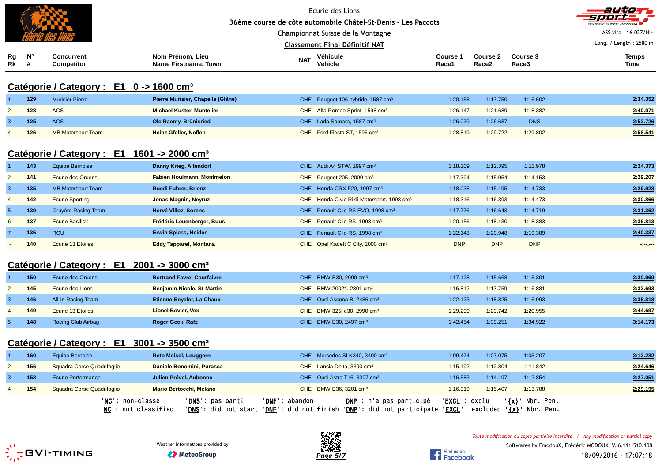|                 |         |                                                     |                                                                                               |                                   | Ecurie des Lions<br>36ème course de côte automobile Châtel-St-Denis - Les Paccots                                                  |                        |                        |                         | aution<br>7.         |
|-----------------|---------|-----------------------------------------------------|-----------------------------------------------------------------------------------------------|-----------------------------------|------------------------------------------------------------------------------------------------------------------------------------|------------------------|------------------------|-------------------------|----------------------|
|                 |         |                                                     |                                                                                               | Championnat Suisse de la Montagne | ASS visa: 16-027/NI+                                                                                                               |                        |                        |                         |                      |
|                 |         |                                                     |                                                                                               |                                   | <b>Classement Final Définitif NAT</b>                                                                                              |                        | Long. / Length: 2580 m |                         |                      |
| Rg<br>Rk        | N°<br># | <b>Concurrent</b><br><b>Competitor</b>              | Nom Prénom, Lieu<br>Name Firstname, Town                                                      | <b>NAT</b>                        | Véhicule<br><b>Vehicle</b>                                                                                                         | Course 1<br>Race1      | Course 2<br>Race2      | Course 3<br>Race3       | <b>Temps</b><br>Time |
|                 |         | Catégorie / Category : E1 0 -> 1600 cm <sup>3</sup> |                                                                                               |                                   |                                                                                                                                    |                        |                        |                         |                      |
|                 | 129     | <b>Murisier Pierre</b>                              | Pierre Murisier, Chapelle (Glâne)                                                             |                                   | CHE Peugeot 106 hybride, 1587 cm <sup>3</sup>                                                                                      | 1:20.158               | 1:17.750               | 1:16.602                | 2:34.352             |
| $\overline{2}$  | 128     | <b>ACS</b>                                          | <b>Michael Kuster, Muntelier</b>                                                              |                                   | CHE Alfa Romeo Sprint, 1598 cm <sup>3</sup>                                                                                        | 1:26.147               | 1:21.689               | 1:18.382                | 2:40.071             |
| $\mathbf{3}$    | 125     | <b>ACS</b>                                          | Ole Raemy, Brünisried                                                                         |                                   | CHE Lada Samara, 1587 cm <sup>3</sup>                                                                                              | 1:26.039               | 1:26.687               | <b>DNS</b>              | 2:52.726             |
| $\overline{4}$  | 126     | <b>MB Motorsport Team</b>                           | <b>Heinz Gfeller, Noflen</b>                                                                  |                                   | CHE Ford Fiesta ST, 1596 cm <sup>3</sup>                                                                                           | 1:28.819               | 1:29.722               | 1:29.802                | 2:58.541             |
|                 |         |                                                     | Catégorie / Category : E1 1601 -> 2000 cm <sup>3</sup>                                        |                                   |                                                                                                                                    |                        |                        |                         |                      |
|                 | 143     | <b>Equipe Bernoise</b>                              | Danny Krieg, Altendorf                                                                        |                                   | CHE Audi A4 STW, 1997 cm <sup>3</sup>                                                                                              | 1:18.209               | 1:12.395               | 1:11.978                | 2:24.373             |
| $\overline{2}$  | 141     | Ecurie des Ordons                                   | <b>Fabien Houlmann, Montmelon</b>                                                             |                                   | CHE Peugeot 205, 2000 cm <sup>3</sup>                                                                                              | 1:17.394               | 1:15.054               | 1:14.153                | 2:29.207             |
| $\overline{3}$  | 135     | <b>MB Motorsport Team</b>                           | <b>Ruedi Fuhrer, Brienz</b>                                                                   |                                   | CHE Honda CRX F20, 1997 cm <sup>3</sup>                                                                                            | 1:18.038               | 1:15.195               | 1:14.733                | 2:29.928             |
| $\overline{4}$  | 142     | <b>Ecurie Sporting</b>                              | Jonas Magnin, Neyruz                                                                          |                                   | CHE Honda Civic Rikli Motorsport, 1998 cm <sup>3</sup>                                                                             | 1:18.316               | 1:16.393               | 1:14.473                | 2:30.866             |
| $5\overline{5}$ | 139     | Gruyère Racing Team                                 | Hervé Villoz, Sorens                                                                          |                                   | CHE Renault Clio RS EVO, 1998 cm <sup>3</sup>                                                                                      | 1:17.776               | 1:16.643               | 1:14.719                | 2:31.362             |
| 6               | 137     | <b>Ecurie Basilisk</b>                              | Frédéric Leuenberger, Buus                                                                    |                                   | CHE Renault Clio RS, 1998 cm <sup>3</sup>                                                                                          | 1:20.156               | 1:18.430               | 1:18.383                | 2:36.813             |
| $\overline{7}$  | 136     | <b>RCU</b>                                          | <b>Erwin Spiess, Heiden</b>                                                                   |                                   | CHE Renault Clio RS, 1998 cm <sup>3</sup>                                                                                          | 1:22.148               | 1:20.948               | 1:19.389                | 2:40.337             |
|                 | 140     | <b>Ecurie 13 Etoiles</b>                            | <b>Eddy Tapparel, Montana</b>                                                                 |                                   | CHE Opel Kadett C City, 2000 cm <sup>3</sup>                                                                                       | <b>DNP</b>             | <b>DNP</b>             | <b>DNP</b>              | $\sim$               |
|                 |         |                                                     | Catégorie / Category : $E1$ 2001 -> 3000 cm <sup>3</sup>                                      |                                   |                                                                                                                                    |                        |                        |                         |                      |
| -1              | 150     | Ecurie des Ordons                                   | <b>Bertrand Favre, Courfaivre</b>                                                             |                                   | CHE BMW E30, 2990 cm <sup>3</sup>                                                                                                  | 1:17.128               | 1:15.668               | 1:15.301                | 2:30.969             |
| $\overline{2}$  | 145     | Ecurie des Lions                                    | <b>Benjamin Nicole, St-Martin</b>                                                             |                                   | CHE BMW 2002ti, 2301 cm <sup>3</sup>                                                                                               | 1:16.812               | 1:17.769               | 1:16.881                | 2:33.693             |
| $\overline{3}$  | 146     | All-In Racing Team                                  | Etienne Beyeler, La Chaux                                                                     |                                   | CHE Opel Ascona B, 2486 cm <sup>3</sup>                                                                                            | 1:22.123               | 1:18.825               | 1:16.993                | 2:35.818             |
| $\overline{4}$  | 149     | <b>Ecurie 13 Etoiles</b>                            | <b>Lionel Bovier, Vex</b>                                                                     |                                   | CHE BMW 325i e30, 2990 cm <sup>3</sup>                                                                                             | 1:29.299               | 1:23.742               | 1:20.955                | 2:44.697             |
| $5\phantom{.0}$ | 148     | <b>Racing Club Airbag</b>                           | Roger Geck, Rafz                                                                              |                                   | CHE BMW E30, 2497 cm <sup>3</sup>                                                                                                  | 1:42.454               | 1:39.251               | 1:34.922                | 3:14.173             |
|                 |         |                                                     | Catégorie / Category : E1 3001 -> 3500 cm <sup>3</sup>                                        |                                   |                                                                                                                                    |                        |                        |                         |                      |
|                 | 160     | <b>Equipe Bernoise</b>                              | Reto Meisel, Leuggern                                                                         |                                   | CHE Mercedes SLK340, 3400 cm <sup>3</sup>                                                                                          | 1:09.474               | 1:07.075               | 1:05.207                | 2:12.282             |
| $\overline{2}$  | 156     | Squadra Corse Quadrifoglio                          | Daniele Bonomini, Purasca                                                                     |                                   | CHE Lancia Delta, 3390 cm <sup>3</sup>                                                                                             | 1:15.192               | 1:12.804               | 1:11.842                | 2:24.646             |
| $\mathbf{3}$    | 158     | <b>Ecurie Performance</b>                           | Julien Prével, Aubonne                                                                        |                                   | CHE Opel Astra T16, 3397 cm <sup>3</sup>                                                                                           | 1:16.583               | 1:14.197               | 1:12.854                | 2:27.051             |
| 4               | 154     | Squadra Corse Quadrifoglio                          | Mario Bertocchi, Melano                                                                       |                                   | CHE BMW E36, 3201 cm <sup>3</sup>                                                                                                  | 1:16.919               | 1:15.407               | 1:13.788                | 2:29.195             |
|                 |         |                                                     | ' <mark>NC</mark> ': non-classé<br>' <b>DNS</b> ': pas parti<br>' <u>NC</u> ': not classified | 'DNF': abandon                    | 'DNP': n'a pas participé<br>'DNS': did not start 'DNE': did not finish 'DNP': did not participate 'EXCL': excluded '{x}' Nbr. Pen. | ' <u>EXCL</u> ': exclu |                        | $\frac{1}{2}$ Nbr. Pen. |                      |



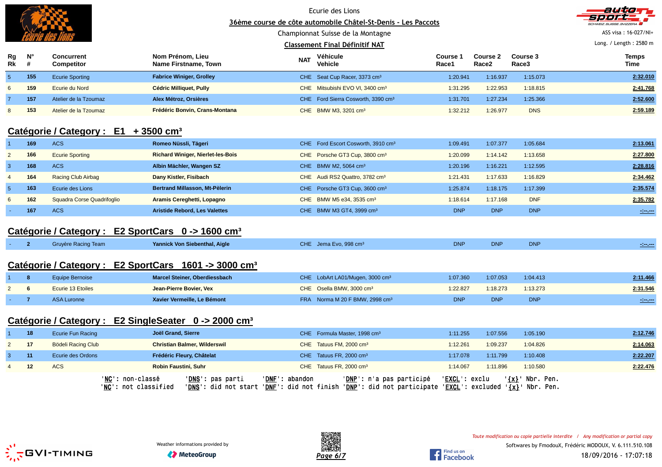|                                                  |                  |                                                               |                                                                      |            | Ecurie des Lions<br>36ème course de côte automobile Châtel-St-Denis - Les Paccots<br>Championnat Suisse de la Montagne |                      |                               |                      | auto<br>ASS visa: 16-027/NI+    |
|--------------------------------------------------|------------------|---------------------------------------------------------------|----------------------------------------------------------------------|------------|------------------------------------------------------------------------------------------------------------------------|----------------------|-------------------------------|----------------------|---------------------------------|
|                                                  |                  |                                                               |                                                                      |            | <b>Classement Final Définitif NAT</b>                                                                                  |                      |                               |                      | Long. / Length: 2580 m          |
| Rg<br>$R\bar{k}$                                 | $N^{\circ}$<br># | <b>Concurrent</b><br>Competitor                               | Nom Prénom, Lieu<br>Name Firstname, Town                             | <b>NAT</b> | Véhicule<br><b>Vehicle</b>                                                                                             | Course 1<br>Race1    | Course 2<br>Race <sub>2</sub> | Course 3<br>Race3    | <b>Temps</b><br>Time            |
| $\sqrt{5}$                                       | 155              | <b>Ecurie Sporting</b>                                        | <b>Fabrice Winiger, Grolley</b>                                      |            | CHE Seat Cup Racer, 3373 cm <sup>3</sup>                                                                               | 1:20.941             | 1:16.937                      | 1:15.073             | 2:32.010                        |
| 6                                                | 159              | <b>Ecurie du Nord</b>                                         | <b>Cédric Milliquet, Pully</b>                                       |            | CHE Mitsubishi EVO VI, 3400 cm <sup>3</sup>                                                                            | 1:31.295             | 1:22.953                      | 1:18.815             | 2:41.768                        |
| $\overline{7}$                                   | 157              | Atelier de la Tzoumaz                                         | Alex Métroz, Orsières                                                |            | CHE Ford Sierra Cosworth, 3390 cm <sup>3</sup>                                                                         | 1:31.701             | 1:27.234                      | 1:25.366             | 2:52.600                        |
| 8                                                | 153              | Atelier de la Tzoumaz                                         | Frédéric Bonvin, Crans-Montana                                       |            | CHE BMW M3, 3201 cm <sup>3</sup>                                                                                       | 1:32.212             | 1:26.977                      | <b>DNS</b>           | 2:59.189                        |
| Catégorie / Category : E1 + 3500 cm <sup>3</sup> |                  |                                                               |                                                                      |            |                                                                                                                        |                      |                               |                      |                                 |
| $\overline{1}$<br>$\overline{2}$                 | 169<br>166       | <b>ACS</b><br><b>Ecurie Sporting</b>                          | Romeo Nüssli, Tägeri                                                 |            | CHE Ford Escort Cosworth, 3910 cm <sup>3</sup>                                                                         | 1:09.491<br>1:20.099 | 1:07.377<br>1:14.142          | 1:05.684<br>1:13.658 | 2:13.061<br>2:27.800            |
| $\mathbf{3}$                                     | 168              | <b>ACS</b>                                                    | <b>Richard Winiger, Nierlet-les-Bois</b><br>Albin Mächler, Wangen SZ |            | CHE Porsche GT3 Cup, 3800 cm <sup>3</sup><br>CHE BMW M2, 5064 cm <sup>3</sup>                                          | 1:20.196             | 1:16.221                      | 1:12.595             | 2:28.816                        |
| $\overline{4}$                                   | 164              | Racing Club Airbag                                            | Dany Kistler, Fisibach                                               |            | CHE Audi RS2 Quattro, 3782 cm <sup>3</sup>                                                                             | 1:21.431             | 1:17.633                      | 1:16.829             | 2:34.462                        |
| $5\phantom{.0}$                                  | 163              | Ecurie des Lions                                              | Bertrand Millasson, Mt-Pèlerin                                       |            |                                                                                                                        | 1:25.874             | 1:18.175                      | 1:17.399             | 2:35.574                        |
| 6                                                | 162              | Squadra Corse Quadrifoglio                                    | Aramis Cereghetti, Lopagno                                           |            | CHE Porsche GT3 Cup, 3600 cm <sup>3</sup><br>CHE BMW M5 e34, 3535 cm <sup>3</sup>                                      | 1:18.614             | 1:17.168                      | <b>DNF</b>           | 2:35.782                        |
|                                                  | 167              | <b>ACS</b>                                                    | <b>Aristide Rebord, Les Valettes</b>                                 |            | CHE BMW M3 GT4, 3999 cm <sup>3</sup>                                                                                   | <b>DNP</b>           | <b>DNP</b>                    | <b>DNP</b>           | $\mathcal{L}=\mathcal{L}$       |
|                                                  |                  | Catégorie / Category : E2 SportCars 0 -> 1600 cm <sup>3</sup> |                                                                      |            |                                                                                                                        |                      |                               |                      |                                 |
|                                                  | 2 <sup>2</sup>   | <b>Gruyère Racing Team</b>                                    | Yannick Von Siebenthal, Aigle                                        |            | CHE Jema Evo, 998 cm <sup>3</sup>                                                                                      | <b>DNP</b>           | <b>DNP</b>                    | <b>DNP</b>           | $\frac{1}{2}$ and $\frac{1}{2}$ |
|                                                  |                  |                                                               | Catégorie / Category : E2 SportCars 1601 -> 3000 cm <sup>3</sup>     |            |                                                                                                                        |                      |                               |                      |                                 |
|                                                  | 8                | <b>Equipe Bernoise</b>                                        | Marcel Steiner, Oberdiessbach                                        |            | CHE LobArt LA01/Mugen, 3000 cm <sup>3</sup>                                                                            | 1:07.360             | 1:07.053                      | 1:04.413             | 2:11.466                        |
| 2                                                | 6                | Ecurie 13 Etoiles                                             | Jean-Pierre Bovier, Vex                                              |            | CHE Osella BMW, 3000 cm <sup>3</sup>                                                                                   | 1:22.827             | 1:18.273                      | 1:13.273             | 2:31.546                        |
|                                                  | $\overline{7}$   | <b>ASA Luronne</b>                                            | Xavier Vermeille, Le Bémont                                          |            | FRA Norma M 20 F BMW, 2998 cm <sup>3</sup>                                                                             | <b>DNP</b>           | <b>DNP</b>                    | <b>DNP</b>           | $\sim$ $\sim$                   |
|                                                  |                  |                                                               | Catégorie / Category : E2 SingleSeater 0 -> 2000 cm <sup>3</sup>     |            |                                                                                                                        |                      |                               |                      |                                 |
| 1                                                | 18               | <b>Ecurie Fun Racing</b>                                      | Joël Grand, Sierre                                                   |            | CHE Formula Master, 1998 cm <sup>3</sup>                                                                               | 1:11.255             | 1:07.556                      | 1:05.190             | 2:12.746                        |
| $\overline{2}$                                   | 17               | <b>Bödeli Racing Club</b>                                     | <b>Christian Balmer, Wilderswil</b>                                  |            | CHE Tatuus FM, 2000 cm <sup>3</sup>                                                                                    | 1:12.261             | 1:09.237                      | 1:04.826             | 2:14.063                        |
| 3                                                | 11               | Ecurie des Ordons                                             | Frédéric Fleury, Châtelat                                            |            | CHE Tatuus FR, 2000 cm <sup>3</sup>                                                                                    | 1:17.078             | 1:11.799                      | 1:10.408             | 2:22.207                        |
| $\overline{4}$                                   | 12               | <b>ACS</b>                                                    | <b>Robin Faustini, Suhr</b>                                          |            | CHE Tatuus FR, 2000 cm <sup>3</sup>                                                                                    | 1:14.067             | 1:11.896                      | 1:10.580             | 2:22.476                        |

'<u>NC</u>': non-classé '<u>DNS</u>': pas parti '<u>DNF</u>': abandon '<u>DNP</u>': n'a pas participé '<u>EXCL</u>': exclu '<u>{x}</u>' Nbr. Pen.<br>'<u>NC</u>': not classified '<u>DNS</u>': did not start '<u>DNF</u>': did not finish '<u>DNP</u>': did not par

Find us on<br>Facebook